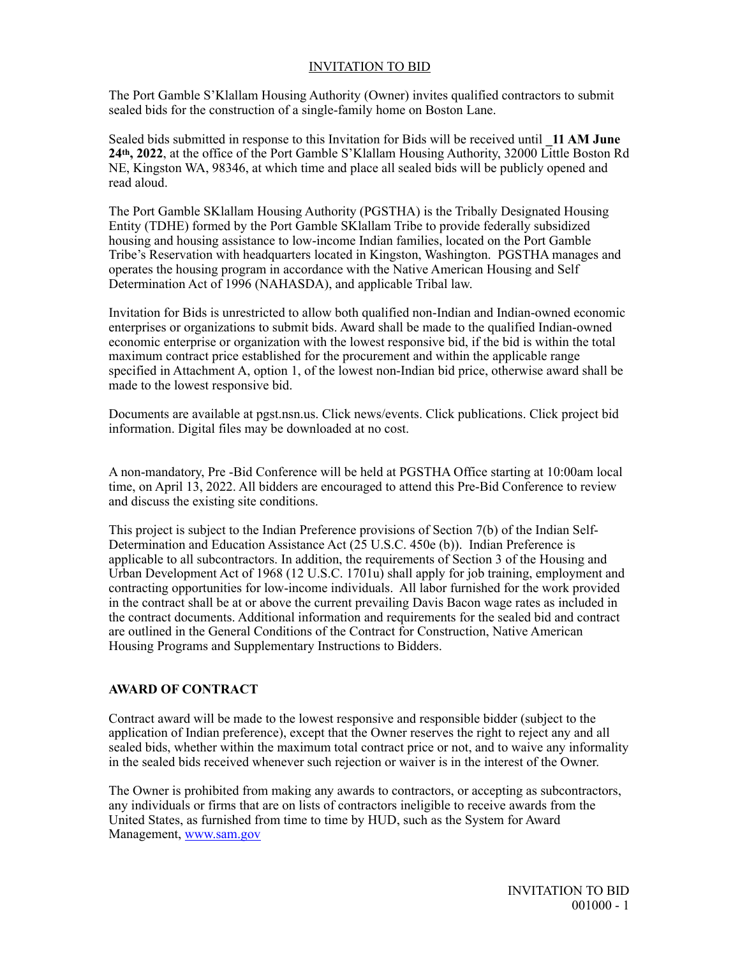## INVITATION TO BID

The Port Gamble S'Klallam Housing Authority (Owner) invites qualified contractors to submit sealed bids for the construction of a single-family home on Boston Lane.

Sealed bids submitted in response to this Invitation for Bids will be received until **\_11 AM June 24th, 2022**, at the office of the Port Gamble S'Klallam Housing Authority, 32000 Little Boston Rd NE, Kingston WA, 98346, at which time and place all sealed bids will be publicly opened and read aloud.

The Port Gamble SKlallam Housing Authority (PGSTHA) is the Tribally Designated Housing Entity (TDHE) formed by the Port Gamble SKlallam Tribe to provide federally subsidized housing and housing assistance to low-income Indian families, located on the Port Gamble Tribe's Reservation with headquarters located in Kingston, Washington. PGSTHA manages and operates the housing program in accordance with the Native American Housing and Self Determination Act of 1996 (NAHASDA), and applicable Tribal law.

Invitation for Bids is unrestricted to allow both qualified non-Indian and Indian-owned economic enterprises or organizations to submit bids. Award shall be made to the qualified Indian-owned economic enterprise or organization with the lowest responsive bid, if the bid is within the total maximum contract price established for the procurement and within the applicable range specified in Attachment A, option 1, of the lowest non-Indian bid price, otherwise award shall be made to the lowest responsive bid.

Documents are available at pgst.nsn.us. Click news/events. Click publications. Click project bid information. Digital files may be downloaded at no cost.

A non-mandatory, Pre -Bid Conference will be held at PGSTHA Office starting at 10:00am local time, on April 13, 2022. All bidders are encouraged to attend this Pre-Bid Conference to review and discuss the existing site conditions.

This project is subject to the Indian Preference provisions of Section 7(b) of the Indian Self-Determination and Education Assistance Act (25 U.S.C. 450e (b)). Indian Preference is applicable to all subcontractors. In addition, the requirements of Section 3 of the Housing and Urban Development Act of 1968 (12 U.S.C. 1701u) shall apply for job training, employment and contracting opportunities for low-income individuals. All labor furnished for the work provided in the contract shall be at or above the current prevailing Davis Bacon wage rates as included in the contract documents. Additional information and requirements for the sealed bid and contract are outlined in the General Conditions of the Contract for Construction, Native American Housing Programs and Supplementary Instructions to Bidders.

## **AWARD OF CONTRACT**

Contract award will be made to the lowest responsive and responsible bidder (subject to the application of Indian preference), except that the Owner reserves the right to reject any and all sealed bids, whether within the maximum total contract price or not, and to waive any informality in the sealed bids received whenever such rejection or waiver is in the interest of the Owner.

The Owner is prohibited from making any awards to contractors, or accepting as subcontractors, any individuals or firms that are on lists of contractors ineligible to receive awards from the United States, as furnished from time to time by HUD, such as the System for Award Management, [www.sam.gov](http://www.sam.gov)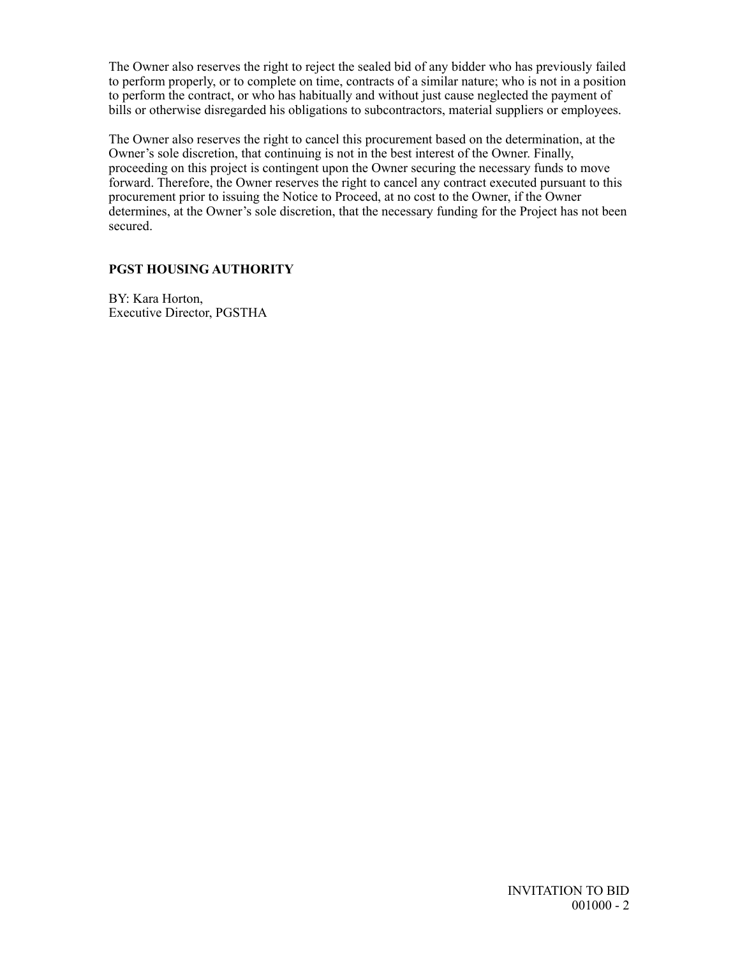The Owner also reserves the right to reject the sealed bid of any bidder who has previously failed to perform properly, or to complete on time, contracts of a similar nature; who is not in a position to perform the contract, or who has habitually and without just cause neglected the payment of bills or otherwise disregarded his obligations to subcontractors, material suppliers or employees.

The Owner also reserves the right to cancel this procurement based on the determination, at the Owner's sole discretion, that continuing is not in the best interest of the Owner. Finally, proceeding on this project is contingent upon the Owner securing the necessary funds to move forward. Therefore, the Owner reserves the right to cancel any contract executed pursuant to this procurement prior to issuing the Notice to Proceed, at no cost to the Owner, if the Owner determines, at the Owner's sole discretion, that the necessary funding for the Project has not been secured.

## **PGST HOUSING AUTHORITY**

BY: Kara Horton, Executive Director, PGSTHA